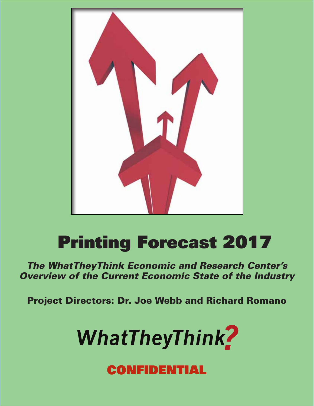

# **Printing Forecast 2017**

**The WhatTheyThink Economic and Research Center's Overview of the Current Economic State of the Industry** 

**Project Directors: Dr. Joe Webb and Richard Romano** 



## CONFIDENTIAL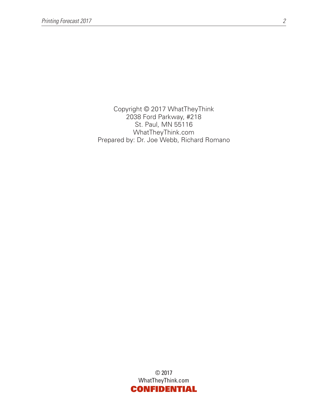Copyright © 2017 WhatTheyThink 2038 Ford Parkway, #218 St. Paul, MN 55116 WhatTheyThink.com Prepared by: Dr. Joe Webb, Richard Romano

> © 2017 WhatTheyThink.com CONFIDENTIAL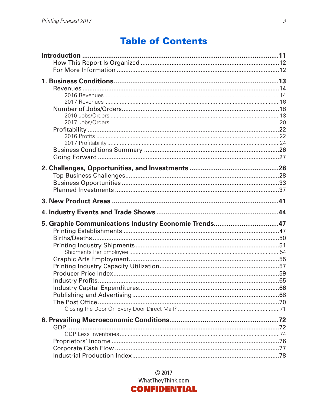## **Table of Contents**

| 5. Graphic Communications Industry Economic Trends47 |  |
|------------------------------------------------------|--|
|                                                      |  |
|                                                      |  |
|                                                      |  |
|                                                      |  |
|                                                      |  |
|                                                      |  |
|                                                      |  |
|                                                      |  |
|                                                      |  |
|                                                      |  |
|                                                      |  |
|                                                      |  |
|                                                      |  |
|                                                      |  |
|                                                      |  |
|                                                      |  |

 $@$  2017 WhatTheyThink.com **CONFIDENTIAL**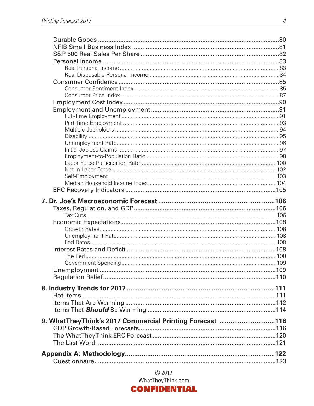| 9. WhatTheyThink's 2017 Commercial Printing Forecast 116 |  |
|----------------------------------------------------------|--|
|                                                          |  |
|                                                          |  |
|                                                          |  |
|                                                          |  |
|                                                          |  |

 $@2017$ WhatTheyThink.com

#### **CONFIDENTIAL**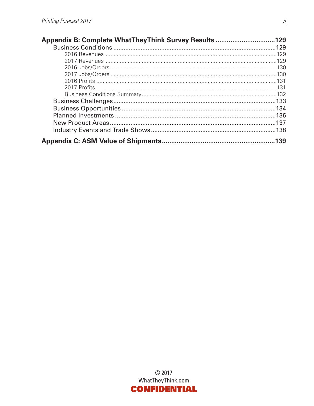| Appendix B: Complete WhatTheyThink Survey Results 129 |  |
|-------------------------------------------------------|--|
|                                                       |  |
|                                                       |  |
|                                                       |  |
|                                                       |  |
|                                                       |  |
|                                                       |  |
|                                                       |  |
|                                                       |  |
|                                                       |  |
|                                                       |  |
|                                                       |  |
|                                                       |  |
|                                                       |  |
|                                                       |  |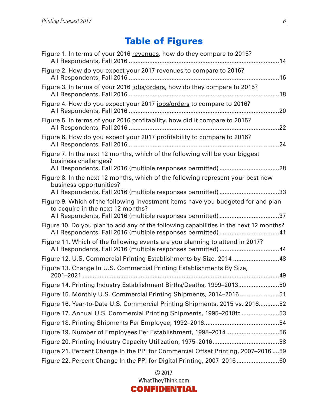## Table of Figures

| Figure 1. In terms of your 2016 revenues, how do they compare to 2015?                                                                                                                |
|---------------------------------------------------------------------------------------------------------------------------------------------------------------------------------------|
| Figure 2. How do you expect your 2017 revenues to compare to 2016?                                                                                                                    |
| Figure 3. In terms of your 2016 jobs/orders, how do they compare to 2015?                                                                                                             |
| Figure 4. How do you expect your 2017 jobs/orders to compare to 2016?                                                                                                                 |
| Figure 5. In terms of your 2016 profitability, how did it compare to 2015?                                                                                                            |
| Figure 6. How do you expect your 2017 profitability to compare to 2016?                                                                                                               |
| Figure 7. In the next 12 months, which of the following will be your biggest<br>business challenges?                                                                                  |
| Figure 8. In the next 12 months, which of the following represent your best new<br>business opportunities?<br>All Respondents, Fall 2016 (multiple responses permitted) 33            |
| Figure 9. Which of the following investment items have you budgeted for and plan<br>to acquire in the next 12 months?<br>All Respondents, Fall 2016 (multiple responses permitted) 37 |
| Figure 10. Do you plan to add any of the following capabilities in the next 12 months?<br>All Respondents, Fall 2016 (multiple responses permitted) 41                                |
| Figure 11. Which of the following events are you planning to attend in 2017?<br>All Respondents, Fall 2016 (multiple responses permitted) 44                                          |
| Figure 12. U.S. Commercial Printing Establishments by Size, 2014 48                                                                                                                   |
| Figure 13. Change In U.S. Commercial Printing Establishments By Size,                                                                                                                 |
| Figure 14. Printing Industry Establishment Births/Deaths, 1999-201350                                                                                                                 |
| Figure 15. Monthly U.S. Commercial Printing Shipments, 2014–201651                                                                                                                    |
| Figure 16. Year-to-Date U.S. Commercial Printing Shipments, 2015 vs. 201652                                                                                                           |
| Figure 17. Annual U.S. Commercial Printing Shipments, 1995-2018fc 53                                                                                                                  |
|                                                                                                                                                                                       |
| Figure 19. Number of Employees Per Establishment, 1998–201456                                                                                                                         |
|                                                                                                                                                                                       |
| Figure 21. Percent Change In the PPI for Commercial Offset Printing, 2007-201659                                                                                                      |
| Figure 22. Percent Change In the PPI for Digital Printing, 2007-201660                                                                                                                |

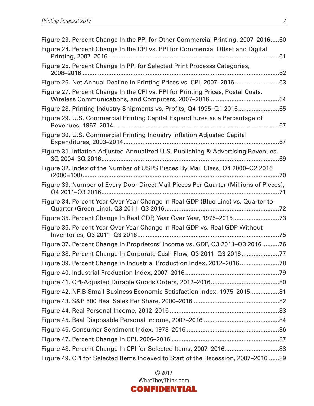| Figure 23. Percent Change In the PPI for Other Commercial Printing, 2007–201660                                                             |  |
|---------------------------------------------------------------------------------------------------------------------------------------------|--|
| Figure 24. Percent Change In the CPI vs. PPI for Commercial Offset and Digital                                                              |  |
| Figure 25. Percent Change In PPI for Selected Print Processs Categories,                                                                    |  |
|                                                                                                                                             |  |
| Figure 27. Percent Change In the CPI vs. PPI for Printing Prices, Postal Costs,                                                             |  |
| Figure 28. Printing Industry Shipments vs. Profits, Q4 1995-Q1 201665                                                                       |  |
| Figure 29. U.S. Commercial Printing Capital Expenditures as a Percentage of                                                                 |  |
| Figure 30. U.S. Commercial Printing Industry Inflation Adjusted Capital                                                                     |  |
| Figure 31. Inflation-Adjusted Annualized U.S. Publishing & Advertising Revenues,                                                            |  |
| Figure 32. Index of the Number of USPS Pieces By Mail Class, Q4 2000–Q2 2016                                                                |  |
| Figure 33. Number of Every Door Direct Mail Pieces Per Quarter (Millions of Pieces),<br>Q4 2011–Q3 2016…………………………………………………………………………………………71 |  |
| Figure 34. Percent Year-Over-Year Change In Real GDP (Blue Line) vs. Quarter-to-                                                            |  |
|                                                                                                                                             |  |
| Figure 36. Percent Year-Over-Year Change In Real GDP vs. Real GDP Without                                                                   |  |
| Figure 37. Percent Change In Proprietors' Income vs. GDP, Q3 2011-Q3 201676                                                                 |  |
| Figure 38. Percent Change In Corporate Cash Flow, Q3 2011-Q3 201677                                                                         |  |
| Figure 39. Percent Change in Industrial Production Index, 2012-201678                                                                       |  |
|                                                                                                                                             |  |
|                                                                                                                                             |  |
| Figure 42. NFIB Small Business Economic Satisfaction Index, 1975-201581                                                                     |  |
|                                                                                                                                             |  |
|                                                                                                                                             |  |
|                                                                                                                                             |  |
|                                                                                                                                             |  |
|                                                                                                                                             |  |
| Figure 48. Percent Change In CPI for Selected Items, 2007-201688                                                                            |  |
| Figure 49. CPI for Selected Items Indexed to Start of the Recession, 2007-2016 89                                                           |  |

© 2017 WhatTheyThink.com CONFIDENTIAL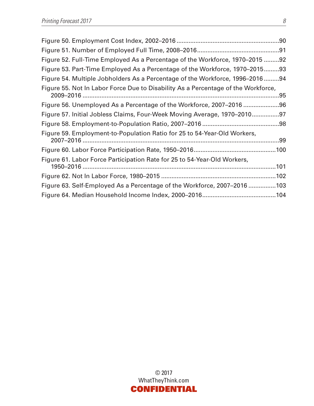| Figure 52. Full-Time Employed As a Percentage of the Workforce, 1970–2015 92      |  |
|-----------------------------------------------------------------------------------|--|
| Figure 53. Part-Time Employed As a Percentage of the Workforce, 1970–201593       |  |
| Figure 54. Multiple Jobholders As a Percentage of the Workforce, 1996-201694      |  |
| Figure 55. Not In Labor Force Due to Disability As a Percentage of the Workforce, |  |
| Figure 56. Unemployed As a Percentage of the Workforce, 2007–2016 96              |  |
| Figure 57. Initial Jobless Claims, Four-Week Moving Average, 1970–201097          |  |
|                                                                                   |  |
| Figure 59. Employment-to-Population Ratio for 25 to 54-Year-Old Workers,          |  |
|                                                                                   |  |
| Figure 61. Labor Force Participation Rate for 25 to 54-Year-Old Workers,          |  |
|                                                                                   |  |
| Figure 63. Self-Employed As a Percentage of the Workforce, 2007–2016 103          |  |
|                                                                                   |  |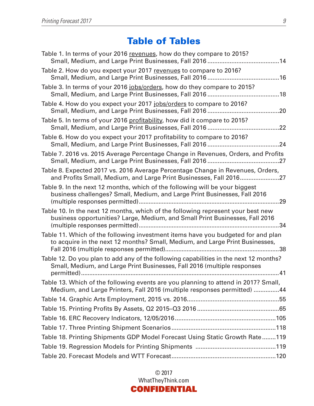## Table of Tables

| Table 1. In terms of your 2016 revenues, how do they compare to 2015?                                                                                             |
|-------------------------------------------------------------------------------------------------------------------------------------------------------------------|
| Table 2. How do you expect your 2017 revenues to compare to 2016?                                                                                                 |
| Table 3. In terms of your 2016 jobs/orders, how do they compare to 2015?                                                                                          |
| Table 4. How do you expect your 2017 jobs/orders to compare to 2016?                                                                                              |
| Table 5. In terms of your 2016 profitability, how did it compare to 2015?                                                                                         |
| Table 6. How do you expect your 2017 profitability to compare to 2016?                                                                                            |
| Table 7. 2016 vs. 2015 Average Percentage Change in Revenues, Orders, and Profits                                                                                 |
| Table 8. Expected 2017 vs. 2016 Average Percentage Change in Revenues, Orders,<br>and Profits Small, Medium, and Large Print Businesses, Fall 2016                |
| Table 9. In the next 12 months, which of the following will be your biggest<br>business challenges? Small, Medium, and Large Print Businesses, Fall 2016          |
| Table 10. In the next 12 months, which of the following represent your best new<br>business opportunities? Large, Medium, and Small Print Businesses, Fall 2016   |
| Table 11. Which of the following investment items have you budgeted for and plan<br>to acquire in the next 12 months? Small, Medium, and Large Print Businesses,  |
| Table 12. Do you plan to add any of the following capabilities in the next 12 months?<br>Small, Medium, and Large Print Businesses, Fall 2016 (multiple responses |
| Table 13. Which of the following events are you planning to attend in 2017? Small,<br>Medium, and Large Printers, Fall 2016 (multiple responses permitted) 44     |
|                                                                                                                                                                   |
|                                                                                                                                                                   |
|                                                                                                                                                                   |
|                                                                                                                                                                   |
| Table 18. Printing Shipments GDP Model Forecast Using Static Growth Rate119                                                                                       |
|                                                                                                                                                                   |
|                                                                                                                                                                   |

© 2017 WhatTheyThink.com CONFIDENTIAL